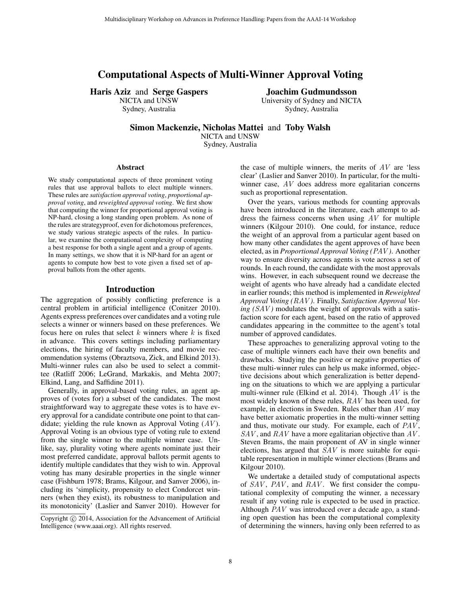# Computational Aspects of Multi-Winner Approval Voting

Haris Aziz and Serge Gaspers

NICTA and UNSW Sydney, Australia

Joachim Gudmundsson University of Sydney and NICTA

Sydney, Australia

Simon Mackenzie, Nicholas Mattei and Toby Walsh

NICTA and UNSW Sydney, Australia

#### Abstract

We study computational aspects of three prominent voting rules that use approval ballots to elect multiple winners. These rules are *satisfaction approval voting*, *proportional approval voting*, and *reweighted approval voting*. We first show that computing the winner for proportional approval voting is NP-hard, closing a long standing open problem. As none of the rules are strategyproof, even for dichotomous preferences, we study various strategic aspects of the rules. In particular, we examine the computational complexity of computing a best response for both a single agent and a group of agents. In many settings, we show that it is NP-hard for an agent or agents to compute how best to vote given a fixed set of approval ballots from the other agents.

#### Introduction

The aggregation of possibly conflicting preference is a central problem in artificial intelligence (Conitzer 2010). Agents express preferences over candidates and a voting rule selects a winner or winners based on these preferences. We focus here on rules that select  $k$  winners where  $k$  is fixed in advance. This covers settings including parliamentary elections, the hiring of faculty members, and movie recommendation systems (Obraztsova, Zick, and Elkind 2013). Multi-winner rules can also be used to select a committee (Ratliff 2006; LeGrand, Markakis, and Mehta 2007; Elkind, Lang, and Saffidine 2011).

Generally, in approval-based voting rules, an agent approves of (votes for) a subset of the candidates. The most straightforward way to aggregate these votes is to have every approval for a candidate contribute one point to that candidate; yielding the rule known as Approval Voting  $(AV)$ . Approval Voting is an obvious type of voting rule to extend from the single winner to the multiple winner case. Unlike, say, plurality voting where agents nominate just their most preferred candidate, approval ballots permit agents to identify multiple candidates that they wish to win. Approval voting has many desirable properties in the single winner case (Fishburn 1978; Brams, Kilgour, and Sanver 2006), including its 'simplicity, propensity to elect Condorcet winners (when they exist), its robustness to manipulation and its monotonicity' (Laslier and Sanver 2010). However for

the case of multiple winners, the merits of  $AV$  are 'less clear' (Laslier and Sanver 2010). In particular, for the multiwinner case, AV does address more egalitarian concerns such as proportional representation.

Over the years, various methods for counting approvals have been introduced in the literature, each attempt to address the fairness concerns when using  $AV$  for multiple winners (Kilgour 2010). One could, for instance, reduce the weight of an approval from a particular agent based on how many other candidates the agent approves of have been elected, as in *Proportional Approval Voting (*PAV *)*. Another way to ensure diversity across agents is vote across a set of rounds. In each round, the candidate with the most approvals wins. However, in each subsequent round we decrease the weight of agents who have already had a candidate elected in earlier rounds; this method is implemented in *Reweighted Approval Voting (*RAV *)*. Finally, *Satisfaction Approval Vot* $ing (SAV)$  modulates the weight of approvals with a satisfaction score for each agent, based on the ratio of approved candidates appearing in the committee to the agent's total number of approved candidates.

These approaches to generalizing approval voting to the case of multiple winners each have their own benefits and drawbacks. Studying the positive or negative properties of these multi-winner rules can help us make informed, objective decisions about which generalization is better depending on the situations to which we are applying a particular multi-winner rule (Elkind et al. 2014). Though  $AV$  is the most widely known of these rules, RAV has been used, for example, in elections in Sweden. Rules other than  $AV$  may have better axiomatic properties in the multi-winner setting and thus, motivate our study. For example, each of PAV,  $SAV$ , and  $RAV$  have a more egalitarian objective than  $AV$ . Steven Brams, the main proponent of AV in single winner elections, has argued that SAV is more suitable for equitable representation in multiple winner elections (Brams and Kilgour 2010).

We undertake a detailed study of computational aspects of  $SAV$ ,  $PAV$ , and  $RAV$ . We first consider the computational complexity of computing the winner, a necessary result if any voting rule is expected to be used in practice. Although PAV was introduced over a decade ago, a standing open question has been the computational complexity of determining the winners, having only been referred to as

Copyright  $\odot$  2014, Association for the Advancement of Artificial Intelligence (www.aaai.org). All rights reserved.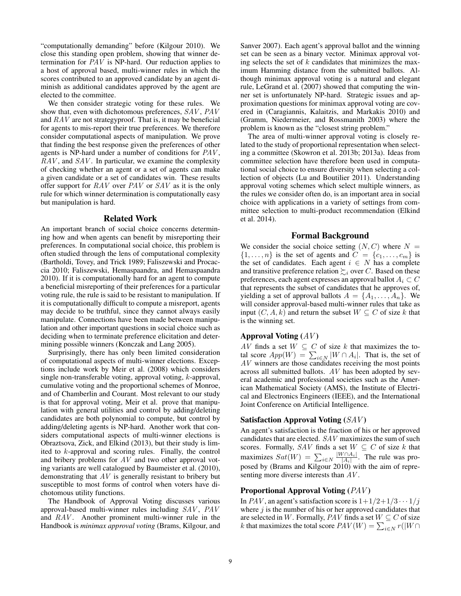"computationally demanding" before (Kilgour 2010). We close this standing open problem, showing that winner determination for PAV is NP-hard. Our reduction applies to a host of approval based, multi-winner rules in which the scores contributed to an approved candidate by an agent diminish as additional candidates approved by the agent are elected to the committee.

We then consider strategic voting for these rules. We show that, even with dichotomous preferences, SAV , PAV and RAV are not strategyproof. That is, it may be beneficial for agents to mis-report their true preferences. We therefore consider computational aspects of manipulation. We prove that finding the best response given the preferences of other agents is NP-hard under a number of conditions for PAV,  $RAV$ , and  $SAV$ . In particular, we examine the complexity of checking whether an agent or a set of agents can make a given candidate or a set of candidates win. These results offer support for  $RAV$  over  $PAV$  or  $SAV$  as it is the only rule for which winner determination is computationally easy but manipulation is hard.

### Related Work

An important branch of social choice concerns determining how and when agents can benefit by misreporting their preferences. In computational social choice, this problem is often studied through the lens of computational complexity (Bartholdi, Tovey, and Trick 1989; Faliszewski and Procaccia 2010; Faliszewski, Hemaspaandra, and Hemaspaandra 2010). If it is computationally hard for an agent to compute a beneficial misreporting of their preferences for a particular voting rule, the rule is said to be resistant to manipulation. If it is computationally difficult to compute a misreport, agents may decide to be truthful, since they cannot always easily manipulate. Connections have been made between manipulation and other important questions in social choice such as deciding when to terminate preference elicitation and determining possible winners (Konczak and Lang 2005).

Surprisingly, there has only been limited consideration of computational aspects of multi-winner elections. Exceptions include work by Meir et al. (2008) which considers single non-transferable voting, approval voting, k-approval, cumulative voting and the proportional schemes of Monroe, and of Chamberlin and Courant. Most relevant to our study is that for approval voting, Meir et al. prove that manipulation with general utilities and control by adding/deleting candidates are both polynomial to compute, but control by adding/deleting agents is NP-hard. Another work that considers computational aspects of multi-winner elections is Obraztsova, Zick, and Elkind (2013), but their study is limited to k-approval and scoring rules. Finally, the control and bribery problems for  $AV$  and two other approval voting variants are well catalogued by Baumeister et al. (2010), demonstrating that AV is generally resistant to bribery but susceptible to most forms of control when voters have dichotomous utility functions.

The Handbook of Approval Voting discusses various approval-based multi-winner rules including SAV, PAV and RAV. Another prominent multi-winner rule in the Handbook is *minimax approval voting* (Brams, Kilgour, and Sanver 2007). Each agent's approval ballot and the winning set can be seen as a binary vector. Minimax approval voting selects the set of  $k$  candidates that minimizes the maximum Hamming distance from the submitted ballots. Although minimax approval voting is a natural and elegant rule, LeGrand et al. (2007) showed that computing the winner set is unfortunately NP-hard. Strategic issues and approximation questions for minimax approval voting are covered in (Caragiannis, Kalaitzis, and Markakis 2010) and (Gramm, Niedermeier, and Rossmanith 2003) where the problem is known as the "closest string problem."

The area of multi-winner approval voting is closely related to the study of proportional representation when selecting a committee (Skowron et al. 2013b; 2013a). Ideas from committee selection have therefore been used in computational social choice to ensure diversity when selecting a collection of objects (Lu and Boutilier 2011). Understanding approval voting schemes which select multiple winners, as the rules we consider often do, is an important area in social choice with applications in a variety of settings from committee selection to multi-product recommendation (Elkind et al. 2014).

# Formal Background

We consider the social choice setting  $(N, C)$  where  $N =$  $\{1, \ldots, n\}$  is the set of agents and  $C = \{c_1, \ldots, c_m\}$  is the set of candidates. Each agent  $i \in N$  has a complete and transitive preference relation  $\sum_i$  over C. Based on these preferences, each agent expresses an approval ballot  $A_i \subset C$ that represents the subset of candidates that he approves of, yielding a set of approval ballots  $A = \{A_1, \ldots, A_n\}$ . We will consider approval-based multi-winner rules that take as input  $(C, A, k)$  and return the subset  $W \subseteq C$  of size k that is the winning set.

### Approval Voting  $(AV)$

AV finds a set  $W \subseteq C$  of size k that maximizes the total score  $App(W) = \sum_{i \in N} |W \cap A_i|$ . That is, the set of AV winners are those candidates receiving the most points across all submitted ballots. AV has been adopted by several academic and professional societies such as the American Mathematical Society (AMS), the Institute of Electrical and Electronics Engineers (IEEE), and the International Joint Conference on Artificial Intelligence.

## Satisfaction Approval Voting  $(SAV)$

An agent's satisfaction is the fraction of his or her approved candidates that are elected. SAV maximizes the sum of such scores. Formally, SAV finds a set  $W \subseteq C$  of size k that maximizes  $Sat(W) = \sum_{i \in N} \frac{|W \cap A_i|}{|A_i|}$  $\frac{|\mathcal{A}_i|}{|\mathcal{A}_i|}$ . The rule was proposed by (Brams and Kilgour 2010) with the aim of representing more diverse interests than AV .

### Proportional Approval Voting  $(PAV)$

In PAV, an agent's satisfaction score is  $1+1/2+1/3 \cdots 1/j$ where  $j$  is the number of his or her approved candidates that are selected in W. Formally,  $PAV$  finds a set  $W \subseteq C$  of size k that maximizes the total score  $PAV(W) = \sum_{i \in N} r(|W \cap$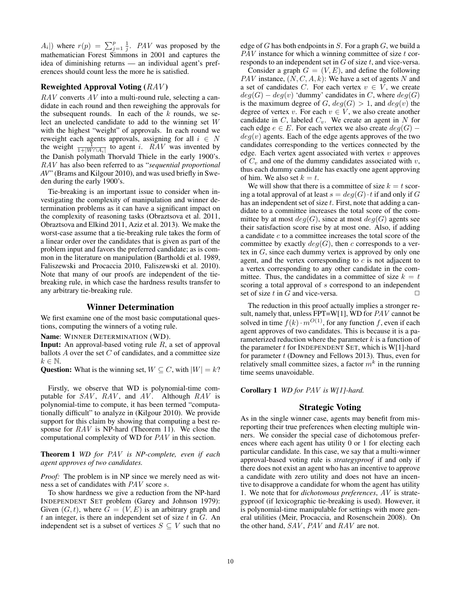$A_i$ ) where  $r(p) = \sum_{j=1}^p \frac{1}{j}$ . PAV was proposed by the mathematician Forest Simmons in 2001 and captures the idea of diminishing returns — an individual agent's preferences should count less the more he is satisfied.

# Reweighted Approval Voting  $(RAV)$

 $RAV$  converts  $AV$  into a multi-round rule, selecting a candidate in each round and then reweighing the approvals for the subsequent rounds. In each of the  $k$  rounds, we select an unelected candidate to add to the winning set W with the highest "weight" of approvals. In each round we reweight each agents approvals, assigning for all  $i \in N$ the weight  $\frac{1}{1+|W \cap A_i|}$  to agent *i*. RAV was invented by the Danish polymath Thorvald Thiele in the early 1900's. RAV has also been referred to as "*sequential proportional AV*" (Brams and Kilgour 2010), and was used briefly in Sweden during the early 1900's.

Tie-breaking is an important issue to consider when investigating the complexity of manipulation and winner determination problems as it can have a significant impact on the complexity of reasoning tasks (Obraztsova et al. 2011, Obraztsova and Elkind 2011, Aziz et al. 2013). We make the worst-case assume that a tie-breaking rule takes the form of a linear order over the candidates that is given as part of the problem input and favors the preferred candidate; as is common in the literature on manipulation (Bartholdi et al. 1989, Faliszewski and Procaccia 2010, Faliszewski et al. 2010). Note that many of our proofs are independent of the tiebreaking rule, in which case the hardness results transfer to any arbitrary tie-breaking rule.

# Winner Determination

We first examine one of the most basic computational questions, computing the winners of a voting rule.

Name: WINNER DETERMINATION (WD).

**Input:** An approval-based voting rule  $R$ , a set of approval ballots  $A$  over the set  $C$  of candidates, and a committee size  $k \in \mathbb{N}$ .

**Question:** What is the winning set,  $W \subseteq C$ , with  $|W| = k$ ?

Firstly, we observe that WD is polynomial-time computable for  $SAV$ ,  $RAV$ , and  $AV$ . Although  $RAV$  is polynomial-time to compute, it has been termed "computationally difficult" to analyze in (Kilgour 2010). We provide support for this claim by showing that computing a best response for RAV is NP-hard (Theorem 11). We close the computational complexity of WD for PAV in this section.

Theorem 1 *WD for* PAV *is NP-complete, even if each agent approves of two candidates.*

*Proof:* The problem is in NP since we merely need as witness a set of candidates with PAV score s.

To show hardness we give a reduction from the NP-hard INDEPENDENT SET problem (Garey and Johnson 1979): Given  $(G, t)$ , where  $G = (V, E)$  is an arbitrary graph and  $t$  an integer, is there an independent set of size  $t$  in  $G$ . An independent set is a subset of vertices  $S \subseteq V$  such that no

edge of  $G$  has both endpoints in  $S$ . For a graph  $G$ , we build a  $PAV$  instance for which a winning committee of size  $t$  corresponds to an independent set in  $G$  of size  $t$ , and vice-versa.

Consider a graph  $G = (V, E)$ , and define the following PAV instance,  $(N, C, A, k)$ : We have a set of agents N and a set of candidates C. For each vertex  $v \in V$ , we create  $deg(G) - deg(v)$  'dummy' candidates in C, where  $deg(G)$ is the maximum degree of  $G, deg(G) > 1$ , and  $deg(v)$  the degree of vertex v. For each  $v \in V$ , we also create another candidate in  $C$ , labeled  $C_v$ . We create an agent in N for each edge  $e \in E$ . For each vertex we also create  $deg(G)$  –  $deg(v)$  agents. Each of the edge agents approves of the two candidates corresponding to the vertices connected by the edge. Each vertex agent associated with vertex  $v$  approves of  $C_v$  and one of the dummy candidates associated with  $v$ , thus each dummy candidate has exactly one agent approving of him. We also set  $k = t$ .

We will show that there is a committee of size  $k = t$  scoring a total approval of at least  $s = deg(G) \cdot t$  if and only if G has an independent set of size  $t$ . First, note that adding a candidate to a committee increases the total score of the committee by at most  $deg(G)$ , since at most  $deg(G)$  agents see their satisfaction score rise by at most one. Also, if adding a candidate  $c$  to a committee increases the total score of the committee by exactly  $deg(G)$ , then c corresponds to a vertex in G, since each dummy vertex is approved by only one agent, and the vertex corresponding to  $c$  is not adjacent to a vertex corresponding to any other candidate in the committee. Thus, the candidates in a committee of size  $k = t$ scoring a total approval of s correspond to an independent set of size t in G and vice-versa.  $\Box$ 

The reduction in this proof actually implies a stronger result, namely that, unless FPT=W[1], WD for PAV cannot be solved in time  $f(k) \cdot m^{O(1)}$ , for any function f, even if each agent approves of two candidates. This is because it is a parameterized reduction where the parameter  $k$  is a function of the parameter  $t$  for INDEPENDENT SET, which is W[1]-hard for parameter  $t$  (Downey and Fellows 2013). Thus, even for relatively small committee sizes, a factor  $m^k$  in the running time seems unavoidable.

Corollary 1 *WD for* PAV *is W[1]-hard.*

# Strategic Voting

As in the single winner case, agents may benefit from misreporting their true preferences when electing multiple winners. We consider the special case of dichotomous preferences where each agent has utility 0 or 1 for electing each particular candidate. In this case, we say that a multi-winner approval-based voting rule is *strategyproof* if and only if there does not exist an agent who has an incentive to approve a candidate with zero utility and does not have an incentive to disapprove a candidate for whom the agent has utility 1. We note that for *dichotomous preferences*, AV is strategyproof (if lexicographic tie-breaking is used). However, it is polynomial-time manipulable for settings with more general utilities (Meir, Procaccia, and Rosenschein 2008). On the other hand,  $SAV$ ,  $PAV$  and  $RAV$  are not.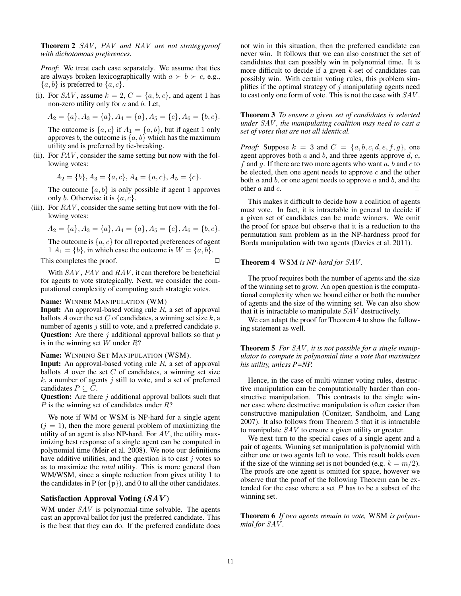Theorem 2 SAV *,* PAV *and* RAV *are not strategyproof with dichotomous preferences.*

*Proof:* We treat each case separately. We assume that ties are always broken lexicographically with  $a \succ b \succ c$ , e.g.,  ${a, b}$  is preferred to  ${a, c}$ .

(i). For SAV, assume  $k = 2$ ,  $C = \{a, b, c\}$ , and agent 1 has non-zero utility only for  $a$  and  $b$ . Let,

$$
A_2 = \{a\}, A_3 = \{a\}, A_4 = \{a\}, A_5 = \{c\}, A_6 = \{b, c\}.
$$

The outcome is  $\{a, c\}$  if  $A_1 = \{a, b\}$ , but if agent 1 only approves b, the outcome is  $\{a, b\}$  which has the maximum utility and is preferred by tie-breaking.

(ii). For  $PAV$ , consider the same setting but now with the following votes:

$$
A_2 = \{b\}, A_3 = \{a, c\}, A_4 = \{a, c\}, A_5 = \{c\}.
$$

The outcome  $\{a, b\}$  is only possible if agent 1 approves only *b*. Otherwise it is  $\{a, c\}$ .

(iii). For  $RAV$ , consider the same setting but now with the following votes:

$$
A_2 = \{a\}, A_3 = \{a\}, A_4 = \{a\}, A_5 = \{c\}, A_6 = \{b, c\}.
$$

The outcome is  $\{a, c\}$  for all reported preferences of agent  $1 A_1 = \{b\}$ , in which case the outcome is  $W = \{a, b\}.$ 

This completes the proof.  $\Box$ 

With  $SAV$ ,  $PAV$  and  $RAV$ , it can therefore be beneficial for agents to vote strategically. Next, we consider the computational complexity of computing such strategic votes.

#### Name: WINNER MANIPULATION (WM)

**Input:** An approval-based voting rule  $R$ , a set of approval ballots A over the set C of candidates, a winning set size  $k$ , a number of agents  $j$  still to vote, and a preferred candidate  $p$ . **Question:** Are there  $j$  additional approval ballots so that  $p$ is in the winning set  $W$  under  $R$ ?

Name: WINNING SET MANIPULATION (WSM).

**Input:** An approval-based voting rule  $R$ , a set of approval ballots  $A$  over the set  $C$  of candidates, a winning set size  $k$ , a number of agents  $j$  still to vote, and a set of preferred candidates  $P \subseteq C$ .

**Question:** Are there  $j$  additional approval ballots such that  $P$  is the winning set of candidates under  $R$ ?

We note if WM or WSM is NP-hard for a single agent  $(j = 1)$ , then the more general problem of maximizing the utility of an agent is also NP-hard. For  $AV$ , the utility maximizing best response of a single agent can be computed in polynomial time (Meir et al. 2008). We note our definitions have additive utilities, and the question is to cast  $j$  votes so as to maximize the *total* utility. This is more general than WM/WSM, since a simple reduction from gives utility 1 to the candidates in P (or  $\{p\}$ ), and 0 to all the other candidates.

### Satisfaction Approval Voting  $(SAV)$

WM under  $SAV$  is polynomial-time solvable. The agents cast an approval ballot for just the preferred candidate. This is the best that they can do. If the preferred candidate does

not win in this situation, then the preferred candidate can never win. It follows that we can also construct the set of candidates that can possibly win in polynomial time. It is more difficult to decide if a given  $k$ -set of candidates can possibly win. With certain voting rules, this problem simplifies if the optimal strategy of  $j$  manipulating agents need to cast only one form of vote. This is not the case with SAV .

Theorem 3 *To ensure a given set of candidates is selected under* SAV *, the manipulating coalition may need to cast a set of votes that are not all identical.*

*Proof:* Suppose  $k = 3$  and  $C = \{a, b, c, d, e, f, g\}$ , one agent approves both  $a$  and  $b$ , and three agents approve  $d, e$ , f and g. If there are two more agents who want  $a, b$  and  $c$  to be elected, then one agent needs to approve  $c$  and the other both  $a$  and  $b$ , or one agent needs to approve  $a$  and  $b$ , and the other a and c.  $\Box$ 

This makes it difficult to decide how a coalition of agents must vote. In fact, it is intractable in general to decide if a given set of candidates can be made winners. We omit the proof for space but observe that it is a reduction to the permutation sum problem as in the NP-hardness proof for Borda manipulation with two agents (Davies et al. 2011).

#### Theorem 4 WSM *is NP-hard for* SAV *.*

The proof requires both the number of agents and the size of the winning set to grow. An open question is the computational complexity when we bound either or both the number of agents and the size of the winning set. We can also show that it is intractable to manipulate SAV destructively.

We can adapt the proof for Theorem 4 to show the following statement as well.

Theorem 5 *For* SAV *, it is not possible for a single manipulator to compute in polynomial time a vote that maximizes his utility, unless P=NP.*

Hence, in the case of multi-winner voting rules, destructive manipulation can be computationally harder than constructive manipulation. This contrasts to the single winner case where destructive manipulation is often easier than constructive manipulation (Conitzer, Sandholm, and Lang 2007). It also follows from Theorem 5 that it is intractable to manipulate SAV to ensure a given utility or greater.

We next turn to the special cases of a single agent and a pair of agents. Winning set manipulation is polynomial with either one or two agents left to vote. This result holds even if the size of the winning set is not bounded (e.g.  $k = m/2$ ). The proofs are one agent is omitted for space, however we observe that the proof of the following Theorem can be extended for the case where a set  $P$  has to be a subset of the winning set.

Theorem 6 *If two agents remain to vote,* WSM *is polynomial for* SAV *.*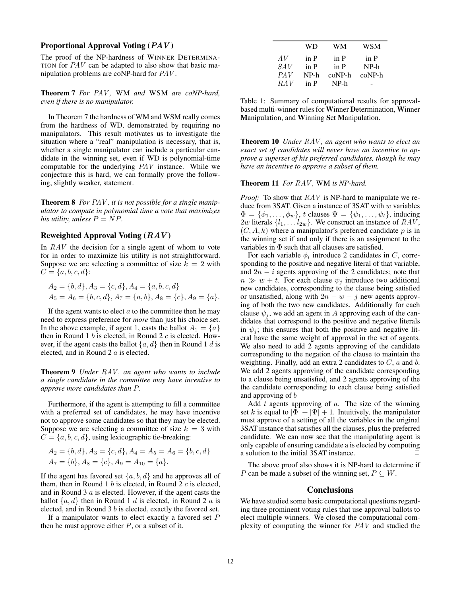# Proportional Approval Voting  $(PAV)$

The proof of the NP-hardness of WINNER DETERMINA-TION for PAV can be adapted to also show that basic manipulation problems are coNP-hard for PAV .

Theorem 7 *For* PAV *,* WM *and* WSM *are coNP-hard, even if there is no manipulator.*

In Theorem 7 the hardness of WM and WSM really comes from the hardness of WD, demonstrated by requiring no manipulators. This result motivates us to investigate the situation where a "real" manipulation is necessary, that is, whether a single manipulator can include a particular candidate in the winning set, even if WD is polynomial-time computable for the underlying PAV instance. While we conjecture this is hard, we can formally prove the following, slightly weaker, statement.

Theorem 8 *For* PAV *, it is not possible for a single manipulator to compute in polynomial time a vote that maximizes his utility, unless*  $P = NP$ .

# Reweighted Approval Voting  $(RAV)$

In  $RAV$  the decision for a single agent of whom to vote for in order to maximize his utility is not straightforward. Suppose we are selecting a committee of size  $k = 2$  with  $C = \{a, b, c, d\}$ :

$$
A_2 = \{b, d\}, A_3 = \{c, d\}, A_4 = \{a, b, c, d\}
$$
  

$$
A_5 = A_6 = \{b, c, d\}, A_7 = \{a, b\}, A_8 = \{c\}, A_9 = \{a\}.
$$

If the agent wants to elect  $\alpha$  to the committee then he may need to express preference for *more* than just his choice set. In the above example, if agent 1, casts the ballot  $A_1 = \{a\}$ then in Round 1  $b$  is elected, in Round 2  $c$  is elected. However, if the agent casts the ballot  $\{a, d\}$  then in Round 1 d is elected, and in Round 2 a is elected.

Theorem 9 *Under* RAV *, an agent who wants to include a single candidate in the committee may have incentive to approve more candidates than* P*.*

Furthermore, if the agent is attempting to fill a committee with a preferred set of candidates, he may have incentive not to approve some candidates so that they may be elected. Suppose we are selecting a committee of size  $k = 3$  with  $C = \{a, b, c, d\}$ , using lexicographic tie-breaking:

$$
A_2 = \{b, d\}, A_3 = \{c, d\}, A_4 = A_5 = A_6 = \{b, c, d\}
$$
  

$$
A_7 = \{b\}, A_8 = \{c\}, A_9 = A_{10} = \{a\}.
$$

If the agent has favored set  $\{a, b, d\}$  and he approves all of them, then in Round 1  $b$  is elected, in Round 2  $c$  is elected, and in Round 3 a is elected. However, if the agent casts the ballot  $\{a, d\}$  then in Round 1 d is elected, in Round 2 a is elected, and in Round 3  $b$  is elected, exactly the favored set.

If a manipulator wants to elect exactly a favored set  $P$ then he must approve either  $P$ , or a subset of it.

|                 | WD   | WМ       | WSM      |
|-----------------|------|----------|----------|
| AV              | in P | in P     | in P     |
| <i>SAV</i>      | in P | in P     | NP-h     |
| PAV <sub></sub> | NP-h | $coNP-h$ | $coNP-h$ |
| RAV             | in P | NP-h     |          |

Table 1: Summary of computational results for approvalbased multi-winner rules for Winner Determination, Winner Manipulation, and Winning Set Manipulation.

Theorem 10 *Under* RAV *, an agent who wants to elect an exact set of candidates will never have an incentive to approve a superset of his preferred candidates, though he may have an incentive to approve a subset of them.*

Theorem 11 *For* RAV *,* WM *is NP-hard.*

*Proof:* To show that  $RAV$  is NP-hard to manipulate we reduce from 3SAT. Given a instance of 3SAT with  $w$  variables  $\Phi = {\phi_1, \ldots, \phi_w}$ , t clauses  $\Psi = {\psi_1, \ldots, \psi_t}$ , inducing 2w literals  $\{l_1, \ldots l_{2w}\}$ . We construct an instance of  $RAV$ ,  $(C, A, k)$  where a manipulator's preferred candidate p is in the winning set if and only if there is an assignment to the variables in Φ such that all clauses are satisfied.

For each variable  $\phi_i$  introduce 2 candidates in C, corresponding to the positive and negative literal of that variable, and  $2n - i$  agents approving of the 2 candidates; note that  $n \gg w + t$ . For each clause  $\psi_j$  introduce two additional new candidates, corresponding to the clause being satisfied or unsatisfied, along with  $2n - w - j$  new agents approving of both the two new candidates. Additionally for each clause  $\psi_i$ , we add an agent in A approving each of the candidates that correspond to the positive and negative literals in  $\psi_i$ ; this ensures that both the positive and negative literal have the same weight of approval in the set of agents. We also need to add 2 agents approving of the candidate corresponding to the negation of the clause to maintain the weighting. Finally, add an extra 2 candidates to  $C$ ,  $a$  and  $b$ . We add 2 agents approving of the candidate corresponding to a clause being unsatisfied, and 2 agents approving of the the candidate corresponding to each clause being satisfied and approving of b

Add  $t$  agents approving of  $a$ . The size of the winning set k is equal to  $|\Phi| + |\Psi| + 1$ . Intuitively, the manipulator must approve of a setting of all the variables in the original 3SAT instance that satisfies all the clauses, plus the preferred candidate. We can now see that the manipulating agent is only capable of ensuring candidate a is elected by computing a solution to the initial 3SAT instance.

The above proof also shows it is NP-hard to determine if P can be made a subset of the winning set,  $P \subseteq W$ .

#### Conclusions

We have studied some basic computational questions regarding three prominent voting rules that use approval ballots to elect multiple winners. We closed the computational complexity of computing the winner for PAV and studied the